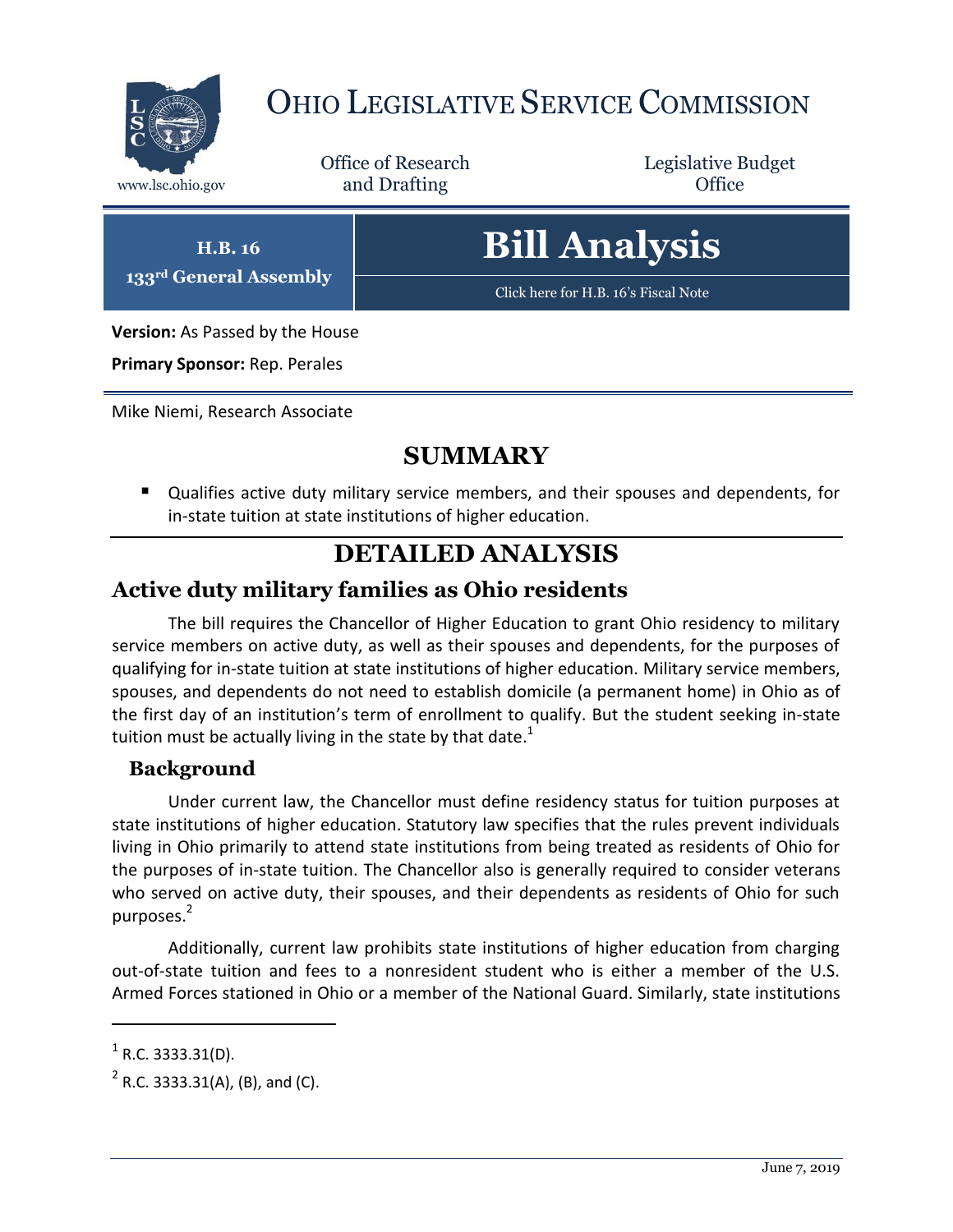

## OHIO LEGISLATIVE SERVICE COMMISSION

Office of Research www.lsc.ohio.gov and Drafting Control Control of Control Control Office

Legislative Budget

**H.B. 16 133rd General Assembly**

# **Bill Analysis**

[Click here for H.B. 16](https://www.legislature.ohio.gov/legislation/legislation-documents?id=GA133-HB-16)'s Fiscal Note

**Version:** As Passed by the House

**Primary Sponsor:** Rep. Perales

Mike Niemi, Research Associate

### **SUMMARY**

 Qualifies active duty military service members, and their spouses and dependents, for in-state tuition at state institutions of higher education.

#### **DETAILED ANALYSIS**

#### **Active duty military families as Ohio residents**

The bill requires the Chancellor of Higher Education to grant Ohio residency to military service members on active duty, as well as their spouses and dependents, for the purposes of qualifying for in-state tuition at state institutions of higher education. Military service members, spouses, and dependents do not need to establish domicile (a permanent home) in Ohio as of the first day of an institution's term of enrollment to qualify. But the student seeking in-state tuition must be actually living in the state by that date.<sup>1</sup>

#### **Background**

Under current law, the Chancellor must define residency status for tuition purposes at state institutions of higher education. Statutory law specifies that the rules prevent individuals living in Ohio primarily to attend state institutions from being treated as residents of Ohio for the purposes of in-state tuition. The Chancellor also is generally required to consider veterans who served on active duty, their spouses, and their dependents as residents of Ohio for such purposes.<sup>2</sup>

Additionally, current law prohibits state institutions of higher education from charging out-of-state tuition and fees to a nonresident student who is either a member of the U.S. Armed Forces stationed in Ohio or a member of the National Guard. Similarly, state institutions

 $\overline{a}$ 

 $<sup>1</sup>$  R.C. 3333.31(D).</sup>

 $2^2$  R.C. 3333.31(A), (B), and (C).